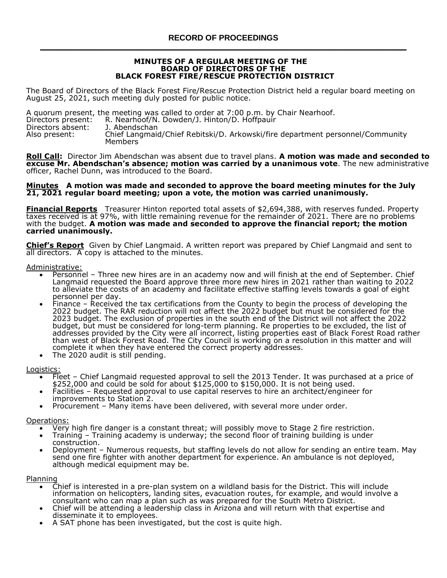#### **MINUTES OF A REGULAR MEETING OF THE BOARD OF DIRECTORS OF THE BLACK FOREST FIRE/RESCUE PROTECTION DISTRICT**

The Board of Directors of the Black Forest Fire/Rescue Protection District held a regular board meeting on August 25, 2021, such meeting duly posted for public notice.

A quorum present, the meeting was called to order at 7:00 p.m. by Chair Nearhoof.<br>Directors present: R. Nearhoof/N. Dowden/J. Hinton/D. Hoffpauir R. Nearhoof/N. Dowden/J. Hinton/D. Hoffpauir<br>J. Abendschan Directors absent: Also present: Chief Langmaid/Chief Rebitski/D. Arkowski/fire department personnel/Community Members

**Roll Call:** Director Jim Abendschan was absent due to travel plans. **A motion was made and seconded to excuse Mr. Abendschan's absence; motion was carried by a unanimous vote**. The new administrative officer, Rachel Dunn, was introduced to the Board.

#### **Minutes A motion was made and seconded to approve the board meeting minutes for the July 21, 2021 regular board meeting; upon a vote, the motion was carried unanimously.**

**Financial Reports** Treasurer Hinton reported total assets of \$2,694,388, with reserves funded. Property taxes received is at 97%, with little remaining revenue for the remainder of 2021. There are no problems with the budget. **A motion was made and seconded to approve the financial report; the motion carried unanimously.** 

**Chief's Report** Given by Chief Langmaid. A written report was prepared by Chief Langmaid and sent to all directors. A copy is attached to the minutes.

Administrative:

- Personnel Three new hires are in an academy now and will finish at the end of September. Chief Langmaid requested the Board approve three more new hires in 2021 rather than waiting to 2022 to alleviate the costs of an academy and facilitate effective staffing levels towards a goal of eight personnel per day.
- Finance Received the tax certifications from the County to begin the process of developing the 2022 budget. The RAR reduction will not affect the 2022 budget but must be considered for the 2023 budget. The exclusion of properties in the south end of the District will not affect the 2022 budget, but must be considered for long-term planning. Re properties to be excluded, the list of addresses provided by the City were all incorrect, listing properties east of Black Forest Road rather than west of Black Forest Road. The City Council is working on a resolution in this matter and will complete it when they have entered the correct property addresses.
- The 2020 audit is still pending.

## **Logistics**

- Fleet Chief Langmaid requested approval to sell the 2013 Tender. It was purchased at a price of  $$252,000$  and could be sold for about  $$125,000$  to  $$150,000$ . It is not being used.
- Facilities Requested approval to use capital reserves to hire an architect/engineer for improvements to Station 2.
- Procurement Many items have been delivered, with several more under order.

Operations:

- Very high fire danger is a constant threat; will possibly move to Stage 2 fire restriction.
- Training Training academy is underway; the second floor of training building is under construction.
- Deployment Numerous requests, but staffing levels do not allow for sending an entire team. May send one fire fighter with another department for experience. An ambulance is not deployed, although medical equipment may be.

Planning

- Chief is interested in a pre-plan system on a wildland basis for the District. This will include information on helicopters, landing sites, evacuation routes, for example, and would involve a consultant who can map a plan such as was prepared for the South Metro District.
- Chief will be attending a leadership class in Arizona and will return with that expertise and disseminate it to employees.
- A SAT phone has been investigated, but the cost is quite high.